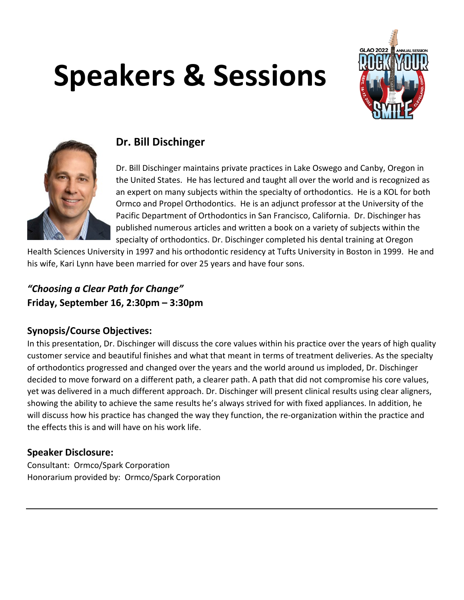# **Speakers & Sessions**





# **Dr. Bill Dischinger**

Dr. Bill Dischinger maintains private practices in Lake Oswego and Canby, Oregon in the United States. He has lectured and taught all over the world and is recognized as an expert on many subjects within the specialty of orthodontics. He is a KOL for both Ormco and Propel Orthodontics. He is an adjunct professor at the University of the Pacific Department of Orthodontics in San Francisco, California. Dr. Dischinger has published numerous articles and written a book on a variety of subjects within the specialty of orthodontics. Dr. Dischinger completed his dental training at Oregon

Health Sciences University in 1997 and his orthodontic residency at Tufts University in Boston in 1999. He and his wife, Kari Lynn have been married for over 25 years and have four sons.

# *"Choosing a Clear Path for Change"*  **Friday, September 16, 2:30pm – 3:30pm**

## **Synopsis/Course Objectives:**

In this presentation, Dr. Dischinger will discuss the core values within his practice over the years of high quality customer service and beautiful finishes and what that meant in terms of treatment deliveries. As the specialty of orthodontics progressed and changed over the years and the world around us imploded, Dr. Dischinger decided to move forward on a different path, a clearer path. A path that did not compromise his core values, yet was delivered in a much different approach. Dr. Dischinger will present clinical results using clear aligners, showing the ability to achieve the same results he's always strived for with fixed appliances. In addition, he will discuss how his practice has changed the way they function, the re-organization within the practice and the effects this is and will have on his work life.

## **Speaker Disclosure:**

Consultant: Ormco/Spark Corporation Honorarium provided by: Ormco/Spark Corporation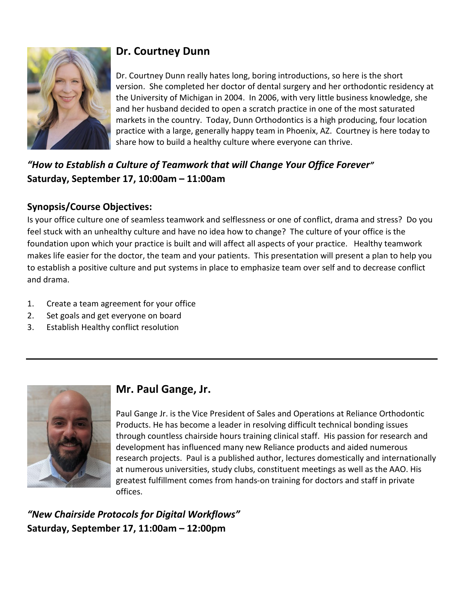

# **Dr. Courtney Dunn**

Dr. Courtney Dunn really hates long, boring introductions, so here is the short version. She completed her doctor of dental surgery and her orthodontic residency at the University of Michigan in 2004. In 2006, with very little business knowledge, she and her husband decided to open a scratch practice in one of the most saturated markets in the country. Today, Dunn Orthodontics is a high producing, four location practice with a large, generally happy team in Phoenix, AZ. Courtney is here today to share how to build a healthy culture where everyone can thrive.

# *"How to Establish a Culture of Teamwork that will Change Your Office Forever"*  **Saturday, September 17, 10:00am – 11:00am**

## **Synopsis/Course Objectives:**

Is your office culture one of seamless teamwork and selflessness or one of conflict, drama and stress? Do you feel stuck with an unhealthy culture and have no idea how to change? The culture of your office is the foundation upon which your practice is built and will affect all aspects of your practice. Healthy teamwork makes life easier for the doctor, the team and your patients. This presentation will present a plan to help you to establish a positive culture and put systems in place to emphasize team over self and to decrease conflict and drama.

- 1. Create a team agreement for your office
- 2. Set goals and get everyone on board
- 3. Establish Healthy conflict resolution



# **Mr. Paul Gange, Jr.**

Paul Gange Jr. is the Vice President of Sales and Operations at Reliance Orthodontic Products. He has become a leader in resolving difficult technical bonding issues through countless chairside hours training clinical staff. His passion for research and development has influenced many new Reliance products and aided numerous research projects. Paul is a published author, lectures domestically and internationally at numerous universities, study clubs, constituent meetings as well as the AAO. His greatest fulfillment comes from hands-on training for doctors and staff in private offices.

*"New Chairside Protocols for Digital Workflows"*  **Saturday, September 17, 11:00am – 12:00pm**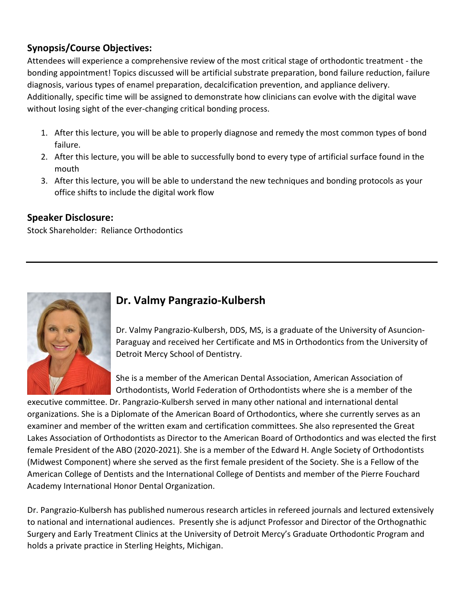## **Synopsis/Course Objectives:**

Attendees will experience a comprehensive review of the most critical stage of orthodontic treatment - the bonding appointment! Topics discussed will be artificial substrate preparation, bond failure reduction, failure diagnosis, various types of enamel preparation, decalcification prevention, and appliance delivery. Additionally, specific time will be assigned to demonstrate how clinicians can evolve with the digital wave without losing sight of the ever-changing critical bonding process.

- 1. After this lecture, you will be able to properly diagnose and remedy the most common types of bond failure.
- 2. After this lecture, you will be able to successfully bond to every type of artificial surface found in the mouth
- 3. After this lecture, you will be able to understand the new techniques and bonding protocols as your office shifts to include the digital work flow

#### **Speaker Disclosure:**

Stock Shareholder: Reliance Orthodontics



# **Dr. Valmy Pangrazio-Kulbersh**

Dr. Valmy Pangrazio-Kulbersh, DDS, MS, is a graduate of the University of Asuncion-Paraguay and received her Certificate and MS in Orthodontics from the University of Detroit Mercy School of Dentistry.

She is a member of the American Dental Association, American Association of Orthodontists, World Federation of Orthodontists where she is a member of the

executive committee. Dr. Pangrazio-Kulbersh served in many other national and international dental organizations. She is a Diplomate of the American Board of Orthodontics, where she currently serves as an examiner and member of the written exam and certification committees. She also represented the Great Lakes Association of Orthodontists as Director to the American Board of Orthodontics and was elected the first female President of the ABO (2020-2021). She is a member of the Edward H. Angle Society of Orthodontists (Midwest Component) where she served as the first female president of the Society. She is a Fellow of the American College of Dentists and the International College of Dentists and member of the Pierre Fouchard Academy International Honor Dental Organization.

Dr. Pangrazio-Kulbersh has published numerous research articles in refereed journals and lectured extensively to national and international audiences. Presently she is adjunct Professor and Director of the Orthognathic Surgery and Early Treatment Clinics at the University of Detroit Mercy's Graduate Orthodontic Program and holds a private practice in Sterling Heights, Michigan.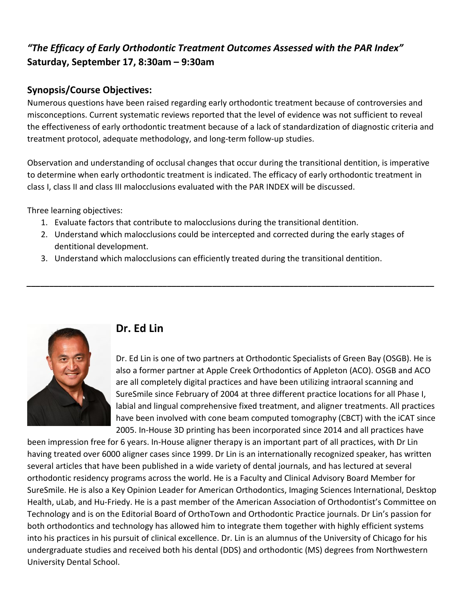## *"The Efficacy of Early Orthodontic Treatment Outcomes Assessed with the PAR Index"* **Saturday, September 17, 8:30am – 9:30am**

## **Synopsis/Course Objectives:**

Numerous questions have been raised regarding early orthodontic treatment because of controversies and misconceptions. Current systematic reviews reported that the level of evidence was not sufficient to reveal the effectiveness of early orthodontic treatment because of a lack of standardization of diagnostic criteria and treatment protocol, adequate methodology, and long-term follow-up studies.

Observation and understanding of occlusal changes that occur during the transitional dentition, is imperative to determine when early orthodontic treatment is indicated. The efficacy of early orthodontic treatment in class I, class II and class III malocclusions evaluated with the PAR INDEX will be discussed.

Three learning objectives:

- 1. Evaluate factors that contribute to malocclusions during the transitional dentition.
- 2. Understand which malocclusions could be intercepted and corrected during the early stages of dentitional development.

*\_\_\_\_\_\_\_\_\_\_\_\_\_\_\_\_\_\_\_\_\_\_\_\_\_\_\_\_\_\_\_\_\_\_\_\_\_\_\_\_\_\_\_\_\_\_\_\_\_\_\_\_\_\_\_\_\_\_\_\_\_\_\_\_\_\_\_\_\_\_\_\_\_\_\_\_\_\_\_\_\_\_\_\_\_\_\_\_\_\_*

3. Understand which malocclusions can efficiently treated during the transitional dentition.



# **Dr. Ed Lin**

Dr. Ed Lin is one of two partners at Orthodontic Specialists of Green Bay (OSGB). He is also a former partner at Apple Creek Orthodontics of Appleton (ACO). OSGB and ACO are all completely digital practices and have been utilizing intraoral scanning and SureSmile since February of 2004 at three different practice locations for all Phase I, labial and lingual comprehensive fixed treatment, and aligner treatments. All practices have been involved with cone beam computed tomography (CBCT) with the iCAT since 2005. In-House 3D printing has been incorporated since 2014 and all practices have

been impression free for 6 years. In-House aligner therapy is an important part of all practices, with Dr Lin having treated over 6000 aligner cases since 1999. Dr Lin is an internationally recognized speaker, has written several articles that have been published in a wide variety of dental journals, and has lectured at several orthodontic residency programs across the world. He is a Faculty and Clinical Advisory Board Member for SureSmile. He is also a Key Opinion Leader for American Orthodontics, Imaging Sciences International, Desktop Health, uLab, and Hu-Friedy. He is a past member of the American Association of Orthodontist's Committee on Technology and is on the Editorial Board of OrthoTown and Orthodontic Practice journals. Dr Lin's passion for both orthodontics and technology has allowed him to integrate them together with highly efficient systems into his practices in his pursuit of clinical excellence. Dr. Lin is an alumnus of the University of Chicago for his undergraduate studies and received both his dental (DDS) and orthodontic (MS) degrees from Northwestern University Dental School.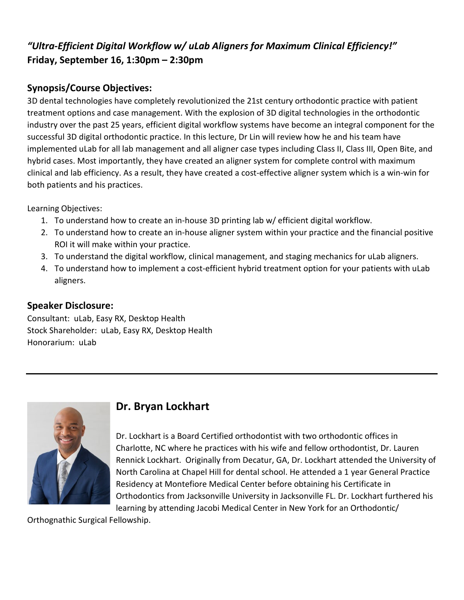## *"Ultra-Efficient Digital Workflow w/ uLab Aligners for Maximum Clinical Efficiency!"*  **Friday, September 16, 1:30pm – 2:30pm**

## **Synopsis/Course Objectives:**

3D dental technologies have completely revolutionized the 21st century orthodontic practice with patient treatment options and case management. With the explosion of 3D digital technologies in the orthodontic industry over the past 25 years, efficient digital workflow systems have become an integral component for the successful 3D digital orthodontic practice. In this lecture, Dr Lin will review how he and his team have implemented uLab for all lab management and all aligner case types including Class II, Class III, Open Bite, and hybrid cases. Most importantly, they have created an aligner system for complete control with maximum clinical and lab efficiency. As a result, they have created a cost-effective aligner system which is a win-win for both patients and his practices.

Learning Objectives:

- 1. To understand how to create an in-house 3D printing lab w/ efficient digital workflow.
- 2. To understand how to create an in-house aligner system within your practice and the financial positive ROI it will make within your practice.
- 3. To understand the digital workflow, clinical management, and staging mechanics for uLab aligners.
- 4. To understand how to implement a cost-efficient hybrid treatment option for your patients with uLab aligners.

## **Speaker Disclosure:**

Consultant: uLab, Easy RX, Desktop Health Stock Shareholder: uLab, Easy RX, Desktop Health Honorarium: uLab



# **Dr. Bryan Lockhart**

Dr. Lockhart is a Board Certified orthodontist with two orthodontic offices in Charlotte, NC where he practices with his wife and fellow orthodontist, Dr. Lauren Rennick Lockhart. Originally from Decatur, GA, Dr. Lockhart attended the University of North Carolina at Chapel Hill for dental school. He attended a 1 year General Practice Residency at Montefiore Medical Center before obtaining his Certificate in Orthodontics from Jacksonville University in Jacksonville FL. Dr. Lockhart furthered his learning by attending Jacobi Medical Center in New York for an Orthodontic/

Orthognathic Surgical Fellowship.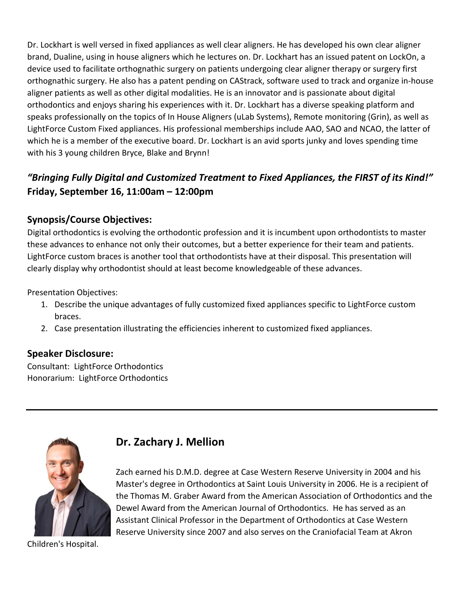Dr. Lockhart is well versed in fixed appliances as well clear aligners. He has developed his own clear aligner brand, Dualine, using in house aligners which he lectures on. Dr. Lockhart has an issued patent on LockOn, a device used to facilitate orthognathic surgery on patients undergoing clear aligner therapy or surgery first orthognathic surgery. He also has a patent pending on CAStrack, software used to track and organize in-house aligner patients as well as other digital modalities. He is an innovator and is passionate about digital orthodontics and enjoys sharing his experiences with it. Dr. Lockhart has a diverse speaking platform and speaks professionally on the topics of In House Aligners (uLab Systems), Remote monitoring (Grin), as well as LightForce Custom Fixed appliances. His professional memberships include AAO, SAO and NCAO, the latter of which he is a member of the executive board. Dr. Lockhart is an avid sports junky and loves spending time with his 3 young children Bryce, Blake and Brynn!

# *"Bringing Fully Digital and Customized Treatment to Fixed Appliances, the FIRST of its Kind!"*  **Friday, September 16, 11:00am – 12:00pm**

## **Synopsis/Course Objectives:**

Digital orthodontics is evolving the orthodontic profession and it is incumbent upon orthodontists to master these advances to enhance not only their outcomes, but a better experience for their team and patients. LightForce custom braces is another tool that orthodontists have at their disposal. This presentation will clearly display why orthodontist should at least become knowledgeable of these advances.

Presentation Objectives:

- 1. Describe the unique advantages of fully customized fixed appliances specific to LightForce custom braces.
- 2. Case presentation illustrating the efficiencies inherent to customized fixed appliances.

#### **Speaker Disclosure:**

Consultant: LightForce Orthodontics Honorarium: LightForce Orthodontics



# **Dr. Zachary J. Mellion**

Zach earned his D.M.D. degree at Case Western Reserve University in 2004 and his Master's degree in Orthodontics at Saint Louis University in 2006. He is a recipient of the Thomas M. Graber Award from the American Association of Orthodontics and the Dewel Award from the American Journal of Orthodontics. He has served as an Assistant Clinical Professor in the Department of Orthodontics at Case Western Reserve University since 2007 and also serves on the Craniofacial Team at Akron

Children's Hospital.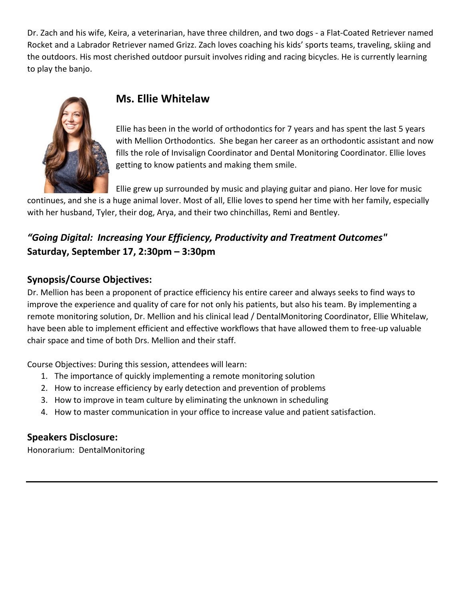Dr. Zach and his wife, Keira, a veterinarian, have three children, and two dogs - a Flat-Coated Retriever named Rocket and a Labrador Retriever named Grizz. Zach loves coaching his kids' sports teams, traveling, skiing and the outdoors. His most cherished outdoor pursuit involves riding and racing bicycles. He is currently learning to play the banjo.



## **Ms. Ellie Whitelaw**

Ellie has been in the world of orthodontics for 7 years and has spent the last 5 years with Mellion Orthodontics. She began her career as an orthodontic assistant and now fills the role of Invisalign Coordinator and Dental Monitoring Coordinator. Ellie loves getting to know patients and making them smile.

Ellie grew up surrounded by music and playing guitar and piano. Her love for music continues, and she is a huge animal lover. Most of all, Ellie loves to spend her time with her family, especially with her husband, Tyler, their dog, Arya, and their two chinchillas, Remi and Bentley.

## *"Going Digital: Increasing Your Efficiency, Productivity and Treatment Outcomes"* **Saturday, September 17, 2:30pm – 3:30pm**

## **Synopsis/Course Objectives:**

Dr. Mellion has been a proponent of practice efficiency his entire career and always seeks to find ways to improve the experience and quality of care for not only his patients, but also his team. By implementing a remote monitoring solution, Dr. Mellion and his clinical lead / DentalMonitoring Coordinator, Ellie Whitelaw, have been able to implement efficient and effective workflows that have allowed them to free-up valuable chair space and time of both Drs. Mellion and their staff.

Course Objectives: During this session, attendees will learn:

- 1. The importance of quickly implementing a remote monitoring solution
- 2. How to increase efficiency by early detection and prevention of problems
- 3. How to improve in team culture by eliminating the unknown in scheduling
- 4. How to master communication in your office to increase value and patient satisfaction.

#### **Speakers Disclosure:**

Honorarium: DentalMonitoring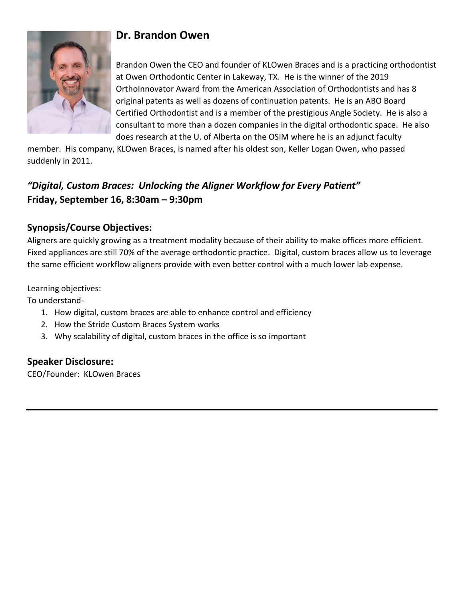

# **Dr. Brandon Owen**

Brandon Owen the CEO and founder of KLOwen Braces and is a practicing orthodontist at Owen Orthodontic Center in Lakeway, TX. He is the winner of the 2019 OrthoInnovator Award from the American Association of Orthodontists and has 8 original patents as well as dozens of continuation patents. He is an ABO Board Certified Orthodontist and is a member of the prestigious Angle Society. He is also a consultant to more than a dozen companies in the digital orthodontic space. He also does research at the U. of Alberta on the OSIM where he is an adjunct faculty

member. His company, KLOwen Braces, is named after his oldest son, Keller Logan Owen, who passed suddenly in 2011.

## *"Digital, Custom Braces: Unlocking the Aligner Workflow for Every Patient"*  **Friday, September 16, 8:30am – 9:30pm**

## **Synopsis/Course Objectives:**

Aligners are quickly growing as a treatment modality because of their ability to make offices more efficient. Fixed appliances are still 70% of the average orthodontic practice. Digital, custom braces allow us to leverage the same efficient workflow aligners provide with even better control with a much lower lab expense.

Learning objectives:

To understand-

- 1. How digital, custom braces are able to enhance control and efficiency
- 2. How the Stride Custom Braces System works
- 3. Why scalability of digital, custom braces in the office is so important

#### **Speaker Disclosure:**

CEO/Founder: KLOwen Braces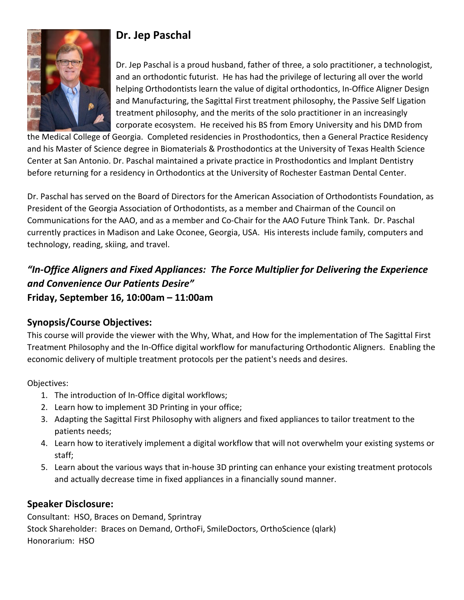

# **Dr. Jep Paschal**

Dr. Jep Paschal is a proud husband, father of three, a solo practitioner, a technologist, and an orthodontic futurist. He has had the privilege of lecturing all over the world helping Orthodontists learn the value of digital orthodontics, In-Office Aligner Design and Manufacturing, the Sagittal First treatment philosophy, the Passive Self Ligation treatment philosophy, and the merits of the solo practitioner in an increasingly corporate ecosystem. He received his BS from Emory University and his DMD from

the Medical College of Georgia. Completed residencies in Prosthodontics, then a General Practice Residency and his Master of Science degree in Biomaterials & Prosthodontics at the University of Texas Health Science Center at San Antonio. Dr. Paschal maintained a private practice in Prosthodontics and Implant Dentistry before returning for a residency in Orthodontics at the University of Rochester Eastman Dental Center.

Dr. Paschal has served on the Board of Directors for the American Association of Orthodontists Foundation, as President of the Georgia Association of Orthodontists, as a member and Chairman of the Council on Communications for the AAO, and as a member and Co-Chair for the AAO Future Think Tank. Dr. Paschal currently practices in Madison and Lake Oconee, Georgia, USA. His interests include family, computers and technology, reading, skiing, and travel.

## *"In-Office Aligners and Fixed Appliances: The Force Multiplier for Delivering the Experience and Convenience Our Patients Desire"* **Friday, September 16, 10:00am – 11:00am**

#### **Synopsis/Course Objectives:**

This course will provide the viewer with the Why, What, and How for the implementation of The Sagittal First Treatment Philosophy and the In-Office digital workflow for manufacturing Orthodontic Aligners. Enabling the economic delivery of multiple treatment protocols per the patient's needs and desires.

Objectives:

- 1. The introduction of In-Office digital workflows;
- 2. Learn how to implement 3D Printing in your office;
- 3. Adapting the Sagittal First Philosophy with aligners and fixed appliances to tailor treatment to the patients needs;
- 4. Learn how to iteratively implement a digital workflow that will not overwhelm your existing systems or staff;
- 5. Learn about the various ways that in-house 3D printing can enhance your existing treatment protocols and actually decrease time in fixed appliances in a financially sound manner.

## **Speaker Disclosure:**

Consultant: HSO, Braces on Demand, Sprintray Stock Shareholder: Braces on Demand, OrthoFi, SmileDoctors, OrthoScience (qlark) Honorarium: HSO